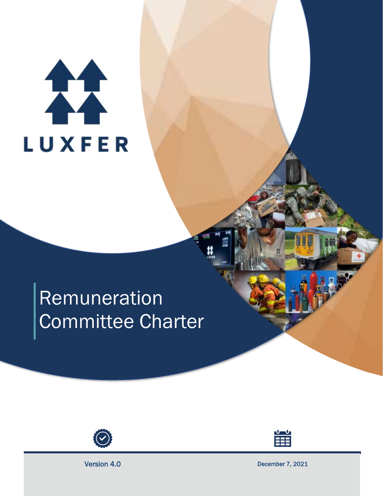# 11 **LUXFER**

## Remuneration Committee Charter





Version 4.0 December 7, 2021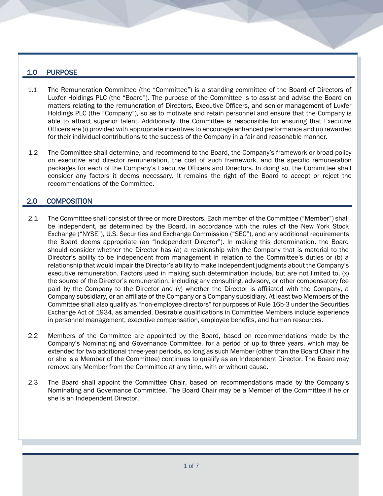#### 1.0 PURPOSE

- 1.1 The Remuneration Committee (the "Committee") is a standing committee of the Board of Directors of Luxfer Holdings PLC (the "Board"). The purpose of the Committee is to assist and advise the Board on matters relating to the remuneration of Directors, Executive Officers, and senior management of Luxfer Holdings PLC (the "Company"), so as to motivate and retain personnel and ensure that the Company is able to attract superior talent. Additionally, the Committee is responsible for ensuring that Executive Officers are (i) provided with appropriate incentives to encourage enhanced performance and (ii) rewarded for their individual contributions to the success of the Company in a fair and reasonable manner.
- 1.2 The Committee shall determine, and recommend to the Board, the Company's framework or broad policy on executive and director remuneration, the cost of such framework, and the specific remuneration packages for each of the Company's Executive Officers and Directors. In doing so, the Committee shall consider any factors it deems necessary. It remains the right of the Board to accept or reject the recommendations of the Committee.

#### 2.0 COMPOSITION

- 2.1 The Committee shall consist of three or more Directors. Each member of the Committee ("Member") shall be independent, as determined by the Board, in accordance with the rules of the New York Stock Exchange ("NYSE"), U.S. Securities and Exchange Commission ("SEC"), and any additional requirements the Board deems appropriate (an "Independent Director"). In making this determination, the Board should consider whether the Director has (a) a relationship with the Company that is material to the Director's ability to be independent from management in relation to the Committee's duties or (b) a relationship that would impair the Director's ability to make independent judgments about the Company's executive remuneration. Factors used in making such determination include, but are not limited to, (x) the source of the Director's remuneration, including any consulting, advisory, or other compensatory fee paid by the Company to the Director and (y) whether the Director is affiliated with the Company, a Company subsidiary, or an affiliate of the Company or a Company subsidiary. At least two Members of the Committee shall also qualify as "non-employee directors" for purposes of Rule 16b-3 under the Securities Exchange Act of 1934, as amended. Desirable qualifications in Committee Members include experience in personnel management, executive compensation, employee benefits, and human resources.
- 2.2 Members of the Committee are appointed by the Board, based on recommendations made by the Company's Nominating and Governance Committee, for a period of up to three years, which may be extended for two additional three-year periods, so long as such Member (other than the Board Chair if he or she is a Member of the Committee) continues to qualify as an Independent Director. The Board may remove any Member from the Committee at any time, with or without cause.
- 2.3 The Board shall appoint the Committee Chair, based on recommendations made by the Company's Nominating and Governance Committee. The Board Chair may be a Member of the Committee if he or she is an Independent Director.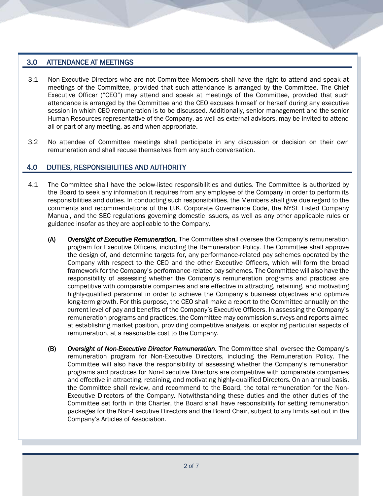#### 3.0 ATTENDANCE AT MEETINGS

- 3.1 Non-Executive Directors who are not Committee Members shall have the right to attend and speak at meetings of the Committee, provided that such attendance is arranged by the Committee. The Chief Executive Officer ("CEO") may attend and speak at meetings of the Committee, provided that such attendance is arranged by the Committee and the CEO excuses himself or herself during any executive session in which CEO remuneration is to be discussed. Additionally, senior management and the senior Human Resources representative of the Company, as well as external advisors, may be invited to attend all or part of any meeting, as and when appropriate.
- 3.2 No attendee of Committee meetings shall participate in any discussion or decision on their own remuneration and shall recuse themselves from any such conversation.

#### 4.0 DUTIES, RESPONSIBILITIES AND AUTHORITY

- 4.1 The Committee shall have the below-listed responsibilities and duties. The Committee is authorized by the Board to seek any information it requires from any employee of the Company in order to perform its responsibilities and duties. In conducting such responsibilities, the Members shall give due regard to the comments and recommendations of the U.K. Corporate Governance Code, the NYSE Listed Company Manual, and the SEC regulations governing domestic issuers, as well as any other applicable rules or guidance insofar as they are applicable to the Company.
	- (A) *Oversight of Executive Remuneration.* The Committee shall oversee the Company's remuneration program for Executive Officers, including the Remuneration Policy. The Committee shall approve the design of, and determine targets for, any performance-related pay schemes operated by the Company with respect to the CEO and the other Executive Officers, which will form the broad framework for the Company's performance-related pay schemes. The Committee will also have the responsibility of assessing whether the Company's remuneration programs and practices are competitive with comparable companies and are effective in attracting, retaining, and motivating highly-qualified personnel in order to achieve the Company's business objectives and optimize long-term growth. For this purpose, the CEO shall make a report to the Committee annually on the current level of pay and benefits of the Company's Executive Officers. In assessing the Company's remuneration programs and practices, the Committee may commission surveys and reports aimed at establishing market position, providing competitive analysis, or exploring particular aspects of remuneration, at a reasonable cost to the Company.
	- (B) *Oversight of Non-Executive Director Remuneration.* The Committee shall oversee the Company's remuneration program for Non-Executive Directors, including the Remuneration Policy. The Committee will also have the responsibility of assessing whether the Company's remuneration programs and practices for Non-Executive Directors are competitive with comparable companies and effective in attracting, retaining, and motivating highly-qualified Directors. On an annual basis, the Committee shall review, and recommend to the Board, the total remuneration for the Non-Executive Directors of the Company. Notwithstanding these duties and the other duties of the Committee set forth in this Charter, the Board shall have responsibility for setting remuneration packages for the Non-Executive Directors and the Board Chair, subject to any limits set out in the Company's Articles of Association.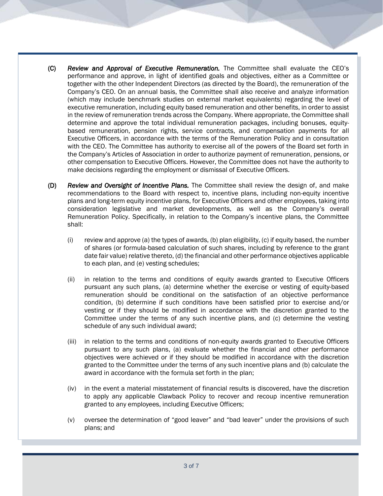- (C) *Review and Approval of Executive Remuneration.* The Committee shall evaluate the CEO's performance and approve, in light of identified goals and objectives, either as a Committee or together with the other Independent Directors (as directed by the Board), the remuneration of the Company's CEO. On an annual basis, the Committee shall also receive and analyze information (which may include benchmark studies on external market equivalents) regarding the level of executive remuneration, including equity based remuneration and other benefits, in order to assist in the review of remuneration trends across the Company. Where appropriate, the Committee shall determine and approve the total individual remuneration packages, including bonuses, equitybased remuneration, pension rights, service contracts, and compensation payments for all Executive Officers, in accordance with the terms of the Remuneration Policy and in consultation with the CEO. The Committee has authority to exercise all of the powers of the Board set forth in the Company's Articles of Association in order to authorize payment of remuneration, pensions, or other compensation to Executive Officers. However, the Committee does not have the authority to make decisions regarding the employment or dismissal of Executive Officers.
- (D) *Review and Oversight of Incentive Plans.* The Committee shall review the design of, and make recommendations to the Board with respect to, incentive plans, including non-equity incentive plans and long-term equity incentive plans, for Executive Officers and other employees, taking into consideration legislative and market developments, as well as the Company's overall Remuneration Policy. Specifically, in relation to the Company's incentive plans, the Committee shall:
	- (i) review and approve (a) the types of awards, (b) plan eligibility, (c) if equity based, the number of shares (or formula-based calculation of such shares, including by reference to the grant date fair value) relative thereto, (d) the financial and other performance objectives applicable to each plan, and (e) vesting schedules;
	- (ii) in relation to the terms and conditions of equity awards granted to Executive Officers pursuant any such plans, (a) determine whether the exercise or vesting of equity-based remuneration should be conditional on the satisfaction of an objective performance condition, (b) determine if such conditions have been satisfied prior to exercise and/or vesting or if they should be modified in accordance with the discretion granted to the Committee under the terms of any such incentive plans, and (c) determine the vesting schedule of any such individual award;
	- (iii) in relation to the terms and conditions of non-equity awards granted to Executive Officers pursuant to any such plans, (a) evaluate whether the financial and other performance objectives were achieved or if they should be modified in accordance with the discretion granted to the Committee under the terms of any such incentive plans and (b) calculate the award in accordance with the formula set forth in the plan;
	- (iv) in the event a material misstatement of financial results is discovered, have the discretion to apply any applicable Clawback Policy to recover and recoup incentive remuneration granted to any employees, including Executive Officers;
	- (v) oversee the determination of "good leaver" and "bad leaver" under the provisions of such plans; and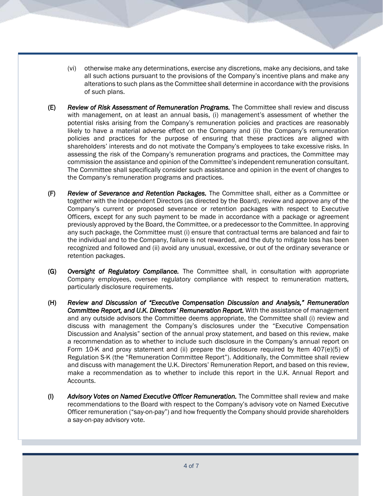- (vi) otherwise make any determinations, exercise any discretions, make any decisions, and take all such actions pursuant to the provisions of the Company's incentive plans and make any alterations to such plans as the Committee shall determine in accordance with the provisions of such plans.
- (E) *Review of Risk Assessment of Remuneration Programs.* The Committee shall review and discuss with management, on at least an annual basis, (i) management's assessment of whether the potential risks arising from the Company's remuneration policies and practices are reasonably likely to have a material adverse effect on the Company and (ii) the Company's remuneration policies and practices for the purpose of ensuring that these practices are aligned with shareholders' interests and do not motivate the Company's employees to take excessive risks. In assessing the risk of the Company's remuneration programs and practices, the Committee may commission the assistance and opinion of the Committee's independent remuneration consultant. The Committee shall specifically consider such assistance and opinion in the event of changes to the Company's remuneration programs and practices.
- (F) *Review of Severance and Retention Packages.* The Committee shall, either as a Committee or together with the Independent Directors (as directed by the Board), review and approve any of the Company's current or proposed severance or retention packages with respect to Executive Officers, except for any such payment to be made in accordance with a package or agreement previously approved by the Board, the Committee, or a predecessor to the Committee. In approving any such package, the Committee must (i) ensure that contractual terms are balanced and fair to the individual and to the Company, failure is not rewarded, and the duty to mitigate loss has been recognized and followed and (ii) avoid any unusual, excessive, or out of the ordinary severance or retention packages.
- (G) *Oversight of Regulatory Compliance.* The Committee shall, in consultation with appropriate Company employees, oversee regulatory compliance with respect to remuneration matters, particularly disclosure requirements.
- (H) *Review and Discussion of "Executive Compensation Discussion and Analysis," Remuneration*  Committee Report, and U.K. Directors' Remuneration Report. With the assistance of management and any outside advisors the Committee deems appropriate, the Committee shall (i) review and discuss with management the Company's disclosures under the "Executive Compensation Discussion and Analysis" section of the annual proxy statement, and based on this review, make a recommendation as to whether to include such disclosure in the Company's annual report on Form 10-K and proxy statement and (ii) prepare the disclosure required by Item 407(e)(5) of Regulation S-K (the "Remuneration Committee Report"). Additionally, the Committee shall review and discuss with management the U.K. Directors' Remuneration Report, and based on this review, make a recommendation as to whether to include this report in the U.K. Annual Report and Accounts.
- (I) *Advisory Votes on Named Executive Officer Remuneration.* The Committee shall review and make recommendations to the Board with respect to the Company's advisory vote on Named Executive Officer remuneration ("say-on-pay") and how frequently the Company should provide shareholders a say-on-pay advisory vote.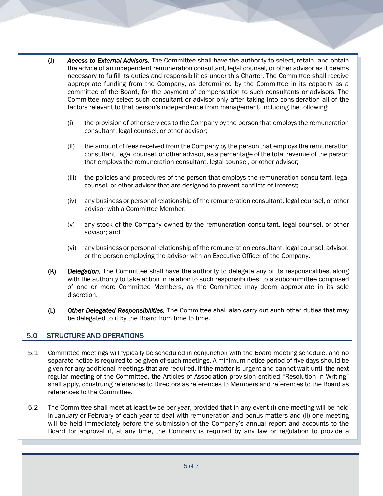- (J) *Access to External Advisors.* The Committee shall have the authority to select, retain, and obtain the advice of an independent remuneration consultant, legal counsel, or other advisor as it deems necessary to fulfill its duties and responsibilities under this Charter. The Committee shall receive appropriate funding from the Company, as determined by the Committee in its capacity as a committee of the Board, for the payment of compensation to such consultants or advisors. The Committee may select such consultant or advisor only after taking into consideration all of the factors relevant to that person's independence from management, including the following:
	- (i) the provision of other services to the Company by the person that employs the remuneration consultant, legal counsel, or other advisor;
	- (ii) the amount of fees received from the Company by the person that employs the remuneration consultant, legal counsel, or other advisor, as a percentage of the total revenue of the person that employs the remuneration consultant, legal counsel, or other advisor;
	- (iii) the policies and procedures of the person that employs the remuneration consultant, legal counsel, or other advisor that are designed to prevent conflicts of interest;
	- (iv) any business or personal relationship of the remuneration consultant, legal counsel, or other advisor with a Committee Member;
	- (v) any stock of the Company owned by the remuneration consultant, legal counsel, or other advisor; and
	- (vi) any business or personal relationship of the remuneration consultant, legal counsel, advisor, or the person employing the advisor with an Executive Officer of the Company.
- (K) *Delegation.* The Committee shall have the authority to delegate any of its responsibilities, along with the authority to take action in relation to such responsibilities, to a subcommittee comprised of one or more Committee Members, as the Committee may deem appropriate in its sole discretion.
- (L) *Other Delegated Responsibilities.* The Committee shall also carry out such other duties that may be delegated to it by the Board from time to time.

#### 5.0 STRUCTURE AND OPERATIONS

- 5.1 Committee meetings will typically be scheduled in conjunction with the Board meeting schedule, and no separate notice is required to be given of such meetings. A minimum notice period of five days should be given for any additional meetings that are required. If the matter is urgent and cannot wait until the next regular meeting of the Committee, the Articles of Association provision entitled "Resolution In Writing" shall apply, construing references to Directors as references to Members and references to the Board as references to the Committee.
- 5.2 The Committee shall meet at least twice per year, provided that in any event (i) one meeting will be held in January or February of each year to deal with remuneration and bonus matters and (ii) one meeting will be held immediately before the submission of the Company's annual report and accounts to the Board for approval if, at any time, the Company is required by any law or regulation to provide a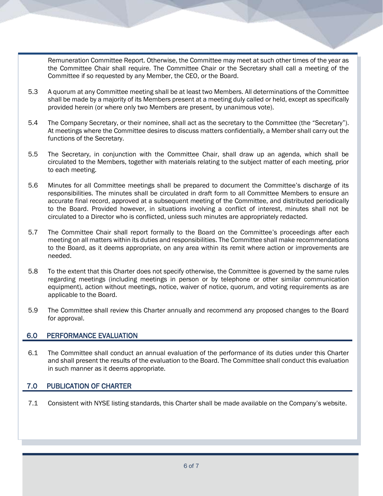Remuneration Committee Report. Otherwise, the Committee may meet at such other times of the year as the Committee Chair shall require. The Committee Chair or the Secretary shall call a meeting of the Committee if so requested by any Member, the CEO, or the Board.

- 5.3 A quorum at any Committee meeting shall be at least two Members. All determinations of the Committee shall be made by a majority of its Members present at a meeting duly called or held, except as specifically provided herein (or where only two Members are present, by unanimous vote).
- 5.4 The Company Secretary, or their nominee, shall act as the secretary to the Committee (the "Secretary"). At meetings where the Committee desires to discuss matters confidentially, a Member shall carry out the functions of the Secretary.
- 5.5 The Secretary, in conjunction with the Committee Chair, shall draw up an agenda, which shall be circulated to the Members, together with materials relating to the subject matter of each meeting, prior to each meeting.
- 5.6 Minutes for all Committee meetings shall be prepared to document the Committee's discharge of its responsibilities. The minutes shall be circulated in draft form to all Committee Members to ensure an accurate final record, approved at a subsequent meeting of the Committee, and distributed periodically to the Board. Provided however, in situations involving a conflict of interest, minutes shall not be circulated to a Director who is conflicted, unless such minutes are appropriately redacted.
- 5.7 The Committee Chair shall report formally to the Board on the Committee's proceedings after each meeting on all matters within its duties and responsibilities. The Committee shall make recommendations to the Board, as it deems appropriate, on any area within its remit where action or improvements are needed.
- 5.8 To the extent that this Charter does not specify otherwise, the Committee is governed by the same rules regarding meetings (including meetings in person or by telephone or other similar communication equipment), action without meetings, notice, waiver of notice, quorum, and voting requirements as are applicable to the Board.
- 5.9 The Committee shall review this Charter annually and recommend any proposed changes to the Board for approval.

#### 6.0 PERFORMANCE EVALUATION

6.1 The Committee shall conduct an annual evaluation of the performance of its duties under this Charter and shall present the results of the evaluation to the Board. The Committee shall conduct this evaluation in such manner as it deems appropriate.

#### 7.0 PUBLICATION OF CHARTER

7.1 Consistent with NYSE listing standards, this Charter shall be made available on the Company's website.